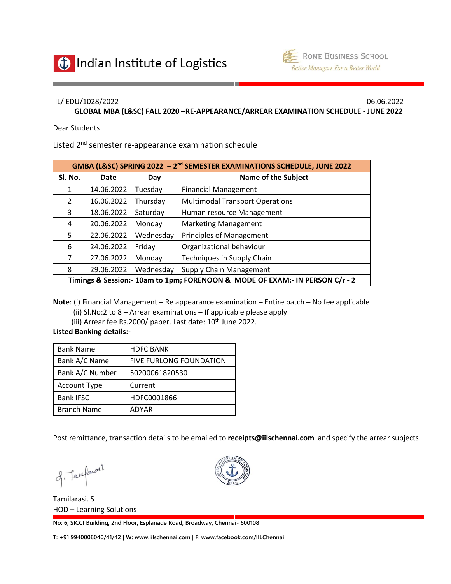



## IIL/ EDU/1028/2022 06.06.2022

**GLOBAL MBA (L&SC) FALL 2020 –RE-APPEARANCE/ARREAR EXAMINATION SCHEDULE - JUNE 2022**

Dear Students

Listed 2<sup>nd</sup> semester re-appearance examination schedule

| GMBA (L&SC) SPRING 2022 - 2 <sup>nd</sup> SEMESTER EXAMINATIONS SCHEDULE, JUNE 2022 |            |           |                                        |  |
|-------------------------------------------------------------------------------------|------------|-----------|----------------------------------------|--|
| Sl. No.                                                                             | Date       | Day       | <b>Name of the Subject</b>             |  |
| 1                                                                                   | 14.06.2022 | Tuesday   | <b>Financial Management</b>            |  |
| $\mathcal{L}$                                                                       | 16.06.2022 | Thursday  | <b>Multimodal Transport Operations</b> |  |
| 3                                                                                   | 18.06.2022 | Saturday  | Human resource Management              |  |
| 4                                                                                   | 20.06.2022 | Monday    | <b>Marketing Management</b>            |  |
| 5                                                                                   | 22.06.2022 | Wednesday | <b>Principles of Management</b>        |  |
| 6                                                                                   | 24.06.2022 | Friday    | Organizational behaviour               |  |
| 7                                                                                   | 27.06.2022 | Monday    | Techniques in Supply Chain             |  |
| 8                                                                                   | 29.06.2022 | Wednesday | Supply Chain Management                |  |
| Timings & Session:- 10am to 1pm; FORENOON & MODE OF EXAM:- IN PERSON C/r - 2        |            |           |                                        |  |

**Note**: (i) Financial Management – Re appearance examination – Entire batch – No fee applicable

(ii) Sl.No:2 to 8 – Arrear examinations – If applicable please apply

(iii) Arrear fee Rs.2000/ paper. Last date:  $10^{th}$  June 2022.

## **Listed Banking details:-**

| <b>Bank Name</b>    | <b>HDFC BANK</b>               |
|---------------------|--------------------------------|
| Bank A/C Name       | <b>FIVE FURLONG FOUNDATION</b> |
| Bank A/C Number     | 50200061820530                 |
| <b>Account Type</b> | Current                        |
| <b>Bank IFSC</b>    | HDFC0001866                    |
| <b>Branch Name</b>  | <b>ADYAR</b>                   |

Post remittance, transaction details to be emailed to **[receipts@iilschennai.com](mailto:receipts@iilschennai.com)** and specify the arrear subjects.

of Taxfarosi

Tamilarasi. S HOD – Learning Solutions



**No: 6, SICCI Building, 2nd Floor, Esplanade Road, Broadway, Chennai- 600108**

**T: +91 9940008040/41/42 | W: [www.iilschennai.com](http://www.iilschennai.com/) | F: [www.facebook.com/IILChennai](http://www.facebook.com/IILChennai/)**